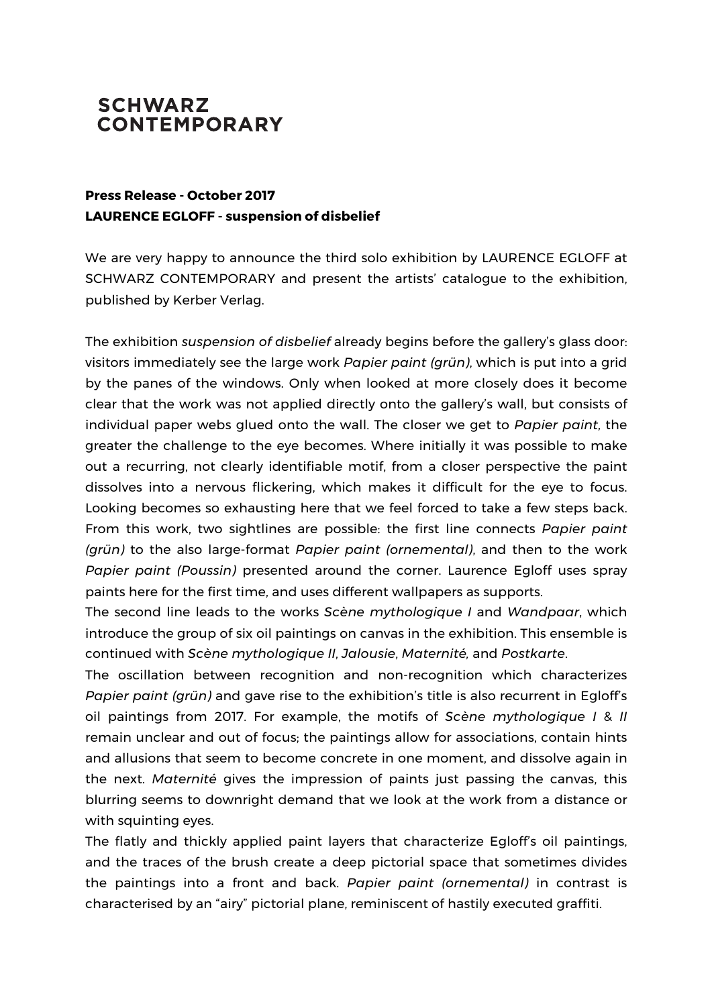## **SCHWARZ CONTEMPORARY**

## **Press Release - October 2017 LAURENCE EGLOFF - suspension of disbelief**

We are very happy to announce the third solo exhibition by LAURENCE EGLOFF at SCHWARZ CONTEMPORARY and present the artists' catalogue to the exhibition, published by Kerber Verlag.

The exhibition *suspension of disbelief* already begins before the gallery's glass door: visitors immediately see the large work *Papier paint (grün)*, which is put into a grid by the panes of the windows. Only when looked at more closely does it become clear that the work was not applied directly onto the gallery's wall, but consists of individual paper webs glued onto the wall. The closer we get to *Papier paint*, the greater the challenge to the eye becomes. Where initially it was possible to make out a recurring, not clearly identifiable motif, from a closer perspective the paint dissolves into a nervous flickering, which makes it difficult for the eye to focus. Looking becomes so exhausting here that we feel forced to take a few steps back. From this work, two sightlines are possible: the first line connects *Papier paint (grün)* to the also large-format *Papier paint (ornemental)*, and then to the work *Papier paint (Poussin)* presented around the corner. Laurence Egloff uses spray paints here for the first time, and uses different wallpapers as supports.

The second line leads to the works *Scène mythologique I* and *Wandpaar*, which introduce the group of six oil paintings on canvas in the exhibition. This ensemble is continued with *Scène mythologique II*, *Jalousie*, *Maternité,* and *Postkarte*.

The oscillation between recognition and non-recognition which characterizes *Papier paint (grün)* and gave rise to the exhibition's title is also recurrent in Egloff's oil paintings from 2017. For example, the motifs of *Scène mythologique I* & *II* remain unclear and out of focus; the paintings allow for associations, contain hints and allusions that seem to become concrete in one moment, and dissolve again in the next. *Maternité* gives the impression of paints just passing the canvas, this blurring seems to downright demand that we look at the work from a distance or with squinting eyes.

The flatly and thickly applied paint layers that characterize Egloff's oil paintings, and the traces of the brush create a deep pictorial space that sometimes divides the paintings into a front and back. *Papier paint (ornemental)* in contrast is characterised by an "airy" pictorial plane, reminiscent of hastily executed graffiti.